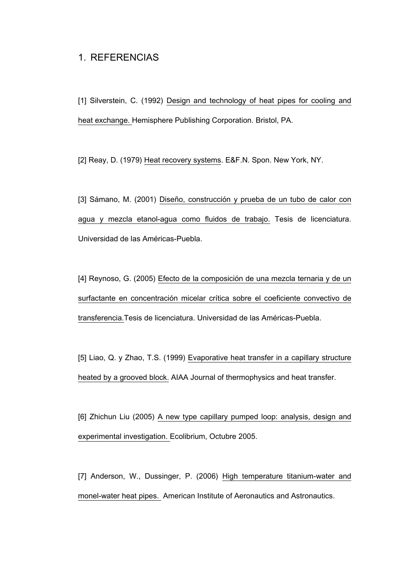## 1. REFERENCIAS

[1] Silverstein, C. (1992) Design and technology of heat pipes for cooling and heat exchange. Hemisphere Publishing Corporation. Bristol, PA.

[2] Reay, D. (1979) Heat recovery systems. E&F.N. Spon. New York, NY.

[3] Sámano, M. (2001) Diseño, construcción y prueba de un tubo de calor con agua y mezcla etanol-agua como fluidos de trabajo. Tesis de licenciatura. Universidad de las Américas-Puebla.

[4] Reynoso, G. (2005) Efecto de la composición de una mezcla ternaria y de un surfactante en concentración micelar crítica sobre el coeficiente convectivo de transferencia.Tesis de licenciatura. Universidad de las Américas-Puebla.

[5] Liao, Q. y Zhao, T.S. (1999) Evaporative heat transfer in a capillary structure heated by a grooved block. AIAA Journal of thermophysics and heat transfer.

[6] Zhichun Liu (2005) A new type capillary pumped loop: analysis, design and experimental investigation. Ecolibrium, Octubre 2005.

[7] Anderson, W., Dussinger, P. (2006) High temperature titanium-water and monel-water heat pipes. American Institute of Aeronautics and Astronautics.